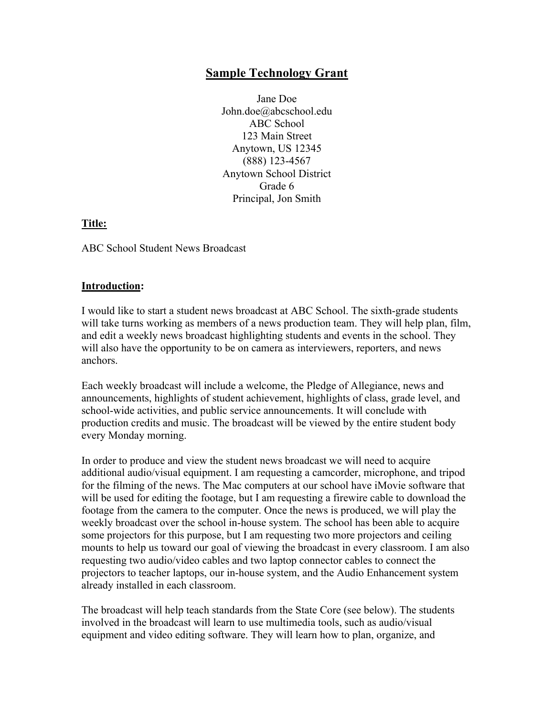# **Sample Technology Grant**

Jane Doe John.doe@abcschool.edu ABC School 123 Main Street Anytown, US 12345 (888) 123-4567 Anytown School District Grade 6 Principal, Jon Smith

# **Title:**

ABC School Student News Broadcast

# **Introduction:**

I would like to start a student news broadcast at ABC School. The sixth-grade students will take turns working as members of a news production team. They will help plan, film, and edit a weekly news broadcast highlighting students and events in the school. They will also have the opportunity to be on camera as interviewers, reporters, and news anchors.

Each weekly broadcast will include a welcome, the Pledge of Allegiance, news and announcements, highlights of student achievement, highlights of class, grade level, and school-wide activities, and public service announcements. It will conclude with production credits and music. The broadcast will be viewed by the entire student body every Monday morning.

In order to produce and view the student news broadcast we will need to acquire additional audio/visual equipment. I am requesting a camcorder, microphone, and tripod for the filming of the news. The Mac computers at our school have iMovie software that will be used for editing the footage, but I am requesting a firewire cable to download the footage from the camera to the computer. Once the news is produced, we will play the weekly broadcast over the school in-house system. The school has been able to acquire some projectors for this purpose, but I am requesting two more projectors and ceiling mounts to help us toward our goal of viewing the broadcast in every classroom. I am also requesting two audio/video cables and two laptop connector cables to connect the projectors to teacher laptops, our in-house system, and the Audio Enhancement system already installed in each classroom.

The broadcast will help teach standards from the State Core (see below). The students involved in the broadcast will learn to use multimedia tools, such as audio/visual equipment and video editing software. They will learn how to plan, organize, and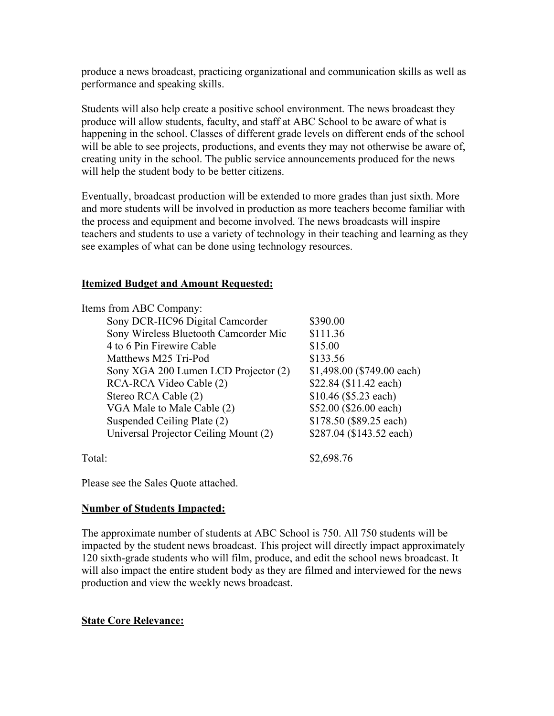produce a news broadcast, practicing organizational and communication skills as well as performance and speaking skills.

Students will also help create a positive school environment. The news broadcast they produce will allow students, faculty, and staff at ABC School to be aware of what is happening in the school. Classes of different grade levels on different ends of the school will be able to see projects, productions, and events they may not otherwise be aware of, creating unity in the school. The public service announcements produced for the news will help the student body to be better citizens.

Eventually, broadcast production will be extended to more grades than just sixth. More and more students will be involved in production as more teachers become familiar with the process and equipment and become involved. The news broadcasts will inspire teachers and students to use a variety of technology in their teaching and learning as they see examples of what can be done using technology resources.

# **Itemized Budget and Amount Requested:**

| Items from ABC Company:               |                            |
|---------------------------------------|----------------------------|
| Sony DCR-HC96 Digital Camcorder       | \$390.00                   |
| Sony Wireless Bluetooth Camcorder Mic | \$111.36                   |
| 4 to 6 Pin Firewire Cable             | \$15.00                    |
| Matthews M25 Tri-Pod                  | \$133.56                   |
| Sony XGA 200 Lumen LCD Projector (2)  | \$1,498.00 (\$749.00 each) |
| RCA-RCA Video Cable (2)               | \$22.84 (\$11.42 each)     |
| Stereo RCA Cable (2)                  | $$10.46$ (\$5.23 each)     |
| VGA Male to Male Cable (2)            | \$52.00 (\$26.00 each)     |
| Suspended Ceiling Plate (2)           | \$178.50 (\$89.25 each)    |
| Universal Projector Ceiling Mount (2) | \$287.04 (\$143.52 each)   |
| Total:                                | \$2,698.76                 |

Please see the Sales Quote attached.

#### **Number of Students Impacted:**

The approximate number of students at ABC School is 750. All 750 students will be impacted by the student news broadcast. This project will directly impact approximately 120 sixth-grade students who will film, produce, and edit the school news broadcast. It will also impact the entire student body as they are filmed and interviewed for the news production and view the weekly news broadcast.

#### **State Core Relevance:**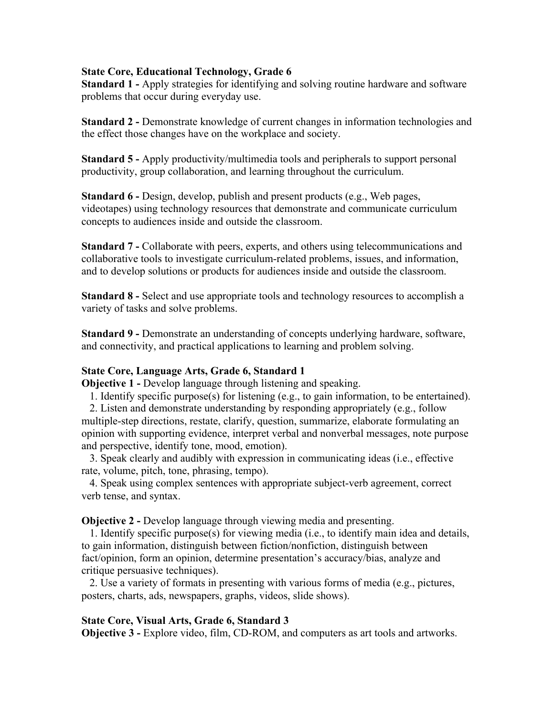#### **State Core, Educational Technology, Grade 6**

**Standard 1 -** Apply strategies for identifying and solving routine hardware and software problems that occur during everyday use.

**Standard 2 -** Demonstrate knowledge of current changes in information technologies and the effect those changes have on the workplace and society.

**Standard 5 -** Apply productivity/multimedia tools and peripherals to support personal productivity, group collaboration, and learning throughout the curriculum.

**Standard 6 -** Design, develop, publish and present products (e.g., Web pages, videotapes) using technology resources that demonstrate and communicate curriculum concepts to audiences inside and outside the classroom.

**Standard 7 -** Collaborate with peers, experts, and others using telecommunications and collaborative tools to investigate curriculum-related problems, issues, and information, and to develop solutions or products for audiences inside and outside the classroom.

**Standard 8 -** Select and use appropriate tools and technology resources to accomplish a variety of tasks and solve problems.

**Standard 9 -** Demonstrate an understanding of concepts underlying hardware, software, and connectivity, and practical applications to learning and problem solving.

#### **State Core, Language Arts, Grade 6, Standard 1**

**Objective 1 -** Develop language through listening and speaking.

1. Identify specific purpose(s) for listening (e.g., to gain information, to be entertained).

 2. Listen and demonstrate understanding by responding appropriately (e.g., follow multiple-step directions, restate, clarify, question, summarize, elaborate formulating an opinion with supporting evidence, interpret verbal and nonverbal messages, note purpose and perspective, identify tone, mood, emotion).

 3. Speak clearly and audibly with expression in communicating ideas (i.e., effective rate, volume, pitch, tone, phrasing, tempo).

 4. Speak using complex sentences with appropriate subject-verb agreement, correct verb tense, and syntax.

**Objective 2 -** Develop language through viewing media and presenting.

 1. Identify specific purpose(s) for viewing media (i.e., to identify main idea and details, to gain information, distinguish between fiction/nonfiction, distinguish between fact/opinion, form an opinion, determine presentation's accuracy/bias, analyze and critique persuasive techniques).

 2. Use a variety of formats in presenting with various forms of media (e.g., pictures, posters, charts, ads, newspapers, graphs, videos, slide shows).

#### **State Core, Visual Arts, Grade 6, Standard 3**

**Objective 3 -** Explore video, film, CD-ROM, and computers as art tools and artworks.